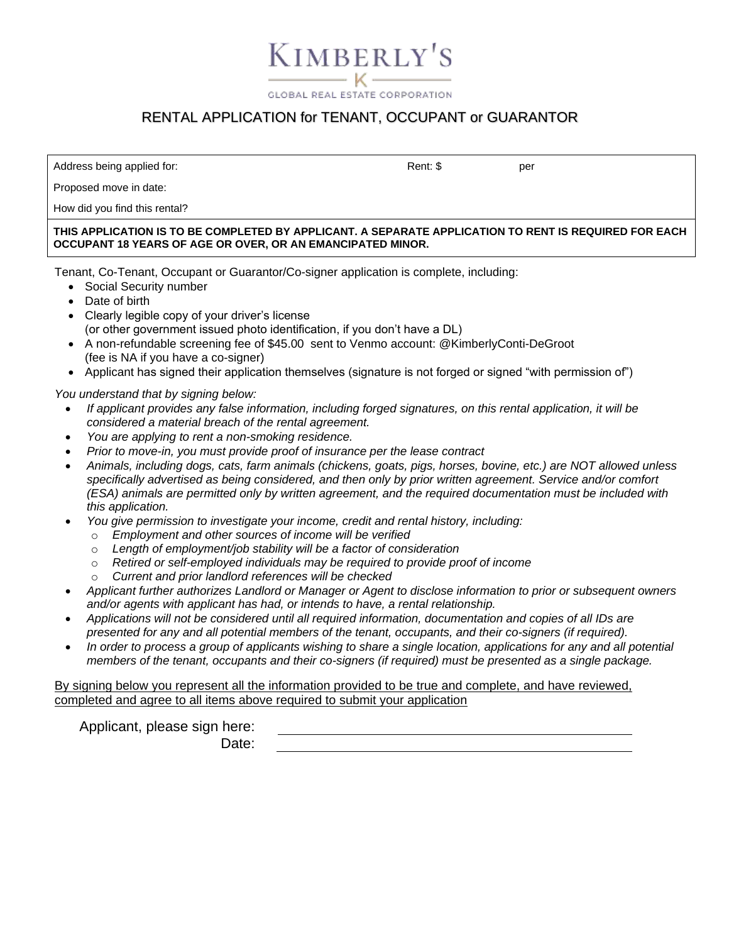$-$  K $-$ **GLOBAL REAL ESTATE CORPORATION** 

KIMBERLY'S

### RENTAL APPLICATION for TENANT, OCCUPANT or GUARANTOR

Address being applied for:  $\blacksquare$  Permits and the set of the set of the set of the set of the set of the set of the set of the set of the set of the set of the set of the set of the set of the set of the set of the set of

Proposed move in date:

How did you find this rental?

**THIS APPLICATION IS TO BE COMPLETED BY APPLICANT. A SEPARATE APPLICATION TO RENT IS REQUIRED FOR EACH OCCUPANT 18 YEARS OF AGE OR OVER, OR AN EMANCIPATED MINOR.**

Tenant, Co-Tenant, Occupant or Guarantor/Co-signer application is complete, including:

- Social Security number
- Date of birth
- Clearly legible copy of your driver's license (or other government issued photo identification, if you don't have a DL)
- A non-refundable screening fee of \$45.00 sent to Venmo account: @KimberlyConti-DeGroot (fee is NA if you have a co-signer)
- Applicant has signed their application themselves (signature is not forged or signed "with permission of")

*You understand that by signing below:*

- *If applicant provides any false information, including forged signatures, on this rental application, it will be considered a material breach of the rental agreement.*
- *You are applying to rent a non-smoking residence.*
- *Prior to move-in, you must provide proof of insurance per the lease contract*
- *Animals, including dogs, cats, farm animals (chickens, goats, pigs, horses, bovine, etc.) are NOT allowed unless specifically advertised as being considered, and then only by prior written agreement. Service and/or comfort (ESA) animals are permitted only by written agreement, and the required documentation must be included with this application.*
- *You give permission to investigate your income, credit and rental history, including:*
	- o *Employment and other sources of income will be verified*
	- o *Length of employment/job stability will be a factor of consideration*
	- o *Retired or self-employed individuals may be required to provide proof of income*
	- o *Current and prior landlord references will be checked*
- *Applicant further authorizes Landlord or Manager or Agent to disclose information to prior or subsequent owners and/or agents with applicant has had, or intends to have, a rental relationship.*
- *Applications will not be considered until all required information, documentation and copies of all IDs are presented for any and all potential members of the tenant, occupants, and their co-signers (if required).*
- *In order to process a group of applicants wishing to share a single location, applications for any and all potential members of the tenant, occupants and their co-signers (if required) must be presented as a single package.*

#### By signing below you represent all the information provided to be true and complete, and have reviewed, completed and agree to all items above required to submit your application

Applicant, please sign here:

Date: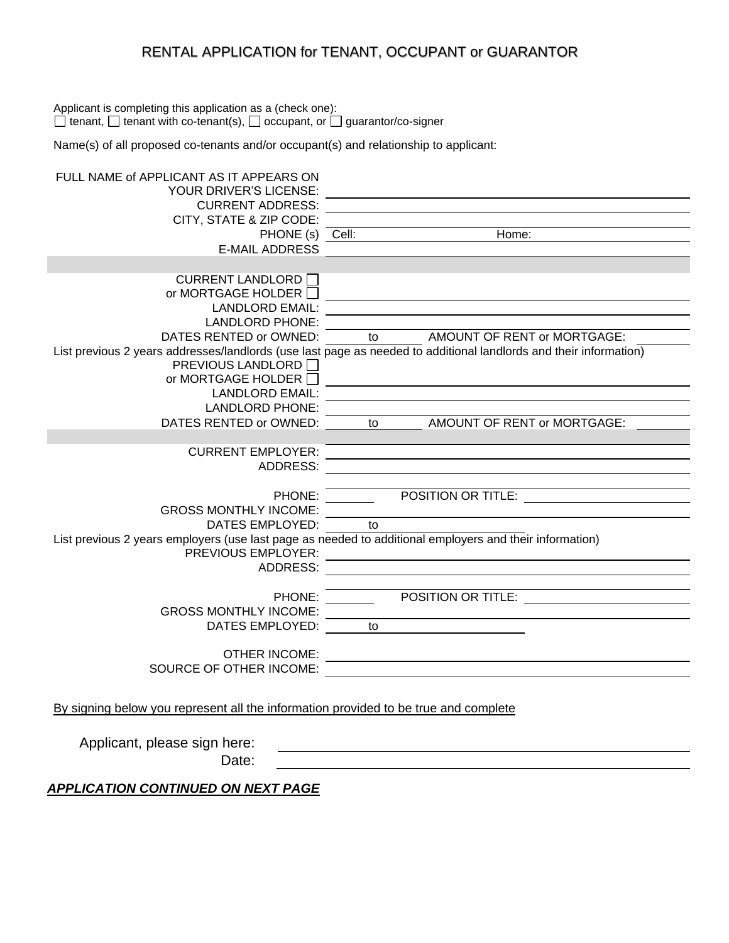#### RENTAL APPLICATION for TENANT, OCCUPANT or GUARANTOR

Applicant is completing this application as a (check one):  $\Box$  tenant,  $\Box$  tenant with co-tenant(s),  $\Box$  occupant, or  $\Box$  guarantor/co-signer

Name(s) of all proposed co-tenants and/or occupant(s) and relationship to applicant:

| FULL NAME of APPLICANT AS IT APPEARS ON                                             |                                                                                                                   |
|-------------------------------------------------------------------------------------|-------------------------------------------------------------------------------------------------------------------|
| <b>YOUR DRIVER'S LICENSE:</b>                                                       |                                                                                                                   |
| <b>CURRENT ADDRESS:</b>                                                             |                                                                                                                   |
| CITY, STATE & ZIP CODE:                                                             |                                                                                                                   |
|                                                                                     | Home:<br>PHONE (s) Cell:                                                                                          |
| <b>E-MAIL ADDRESS</b>                                                               |                                                                                                                   |
|                                                                                     |                                                                                                                   |
| CURRENT LANDLORD I                                                                  |                                                                                                                   |
| or MORTGAGE HOLDER $\Box$                                                           |                                                                                                                   |
| <b>LANDLORD EMAIL:</b>                                                              |                                                                                                                   |
| <b>LANDLORD PHONE:</b>                                                              |                                                                                                                   |
| DATES RENTED or OWNED:                                                              | to AMOUNT OF RENT or MORTGAGE:                                                                                    |
|                                                                                     | List previous 2 years addresses/landlords (use last page as needed to additional landlords and their information) |
| PREVIOUS LANDLORD □                                                                 |                                                                                                                   |
| or MORTGAGE HOLDER $\Box$                                                           |                                                                                                                   |
| <b>LANDLORD EMAIL:</b><br><b>LANDLORD PHONE:</b>                                    |                                                                                                                   |
| DATES RENTED or OWNED:                                                              | to AMOUNT OF RENT or MORTGAGE:                                                                                    |
|                                                                                     |                                                                                                                   |
| <b>CURRENT EMPLOYER:</b>                                                            |                                                                                                                   |
| ADDRESS:                                                                            |                                                                                                                   |
|                                                                                     |                                                                                                                   |
| PHONE:                                                                              | POSITION OR TITLE:                                                                                                |
| <b>GROSS MONTHLY INCOME:</b>                                                        |                                                                                                                   |
| DATES EMPLOYED:                                                                     | to                                                                                                                |
|                                                                                     | List previous 2 years employers (use last page as needed to additional employers and their information)           |
| PREVIOUS EMPLOYER:                                                                  | <u> 1989 - Johann Stein, mars an de Francisco Barbara (</u>                                                       |
| <b>ADDRESS:</b>                                                                     |                                                                                                                   |
|                                                                                     |                                                                                                                   |
| PHONE:                                                                              | POSITION OR TITLE: <u>_____________________________</u>                                                           |
| <b>GROSS MONTHLY INCOME:</b>                                                        |                                                                                                                   |
| DATES EMPLOYED:                                                                     | to                                                                                                                |
|                                                                                     |                                                                                                                   |
| <b>OTHER INCOME:</b>                                                                | <u> 1989 - Johann Barbara, martxa alemaniar argametria (h. 1989).</u>                                             |
| SOURCE OF OTHER INCOME:                                                             |                                                                                                                   |
|                                                                                     |                                                                                                                   |
|                                                                                     |                                                                                                                   |
| By signing below you represent all the information provided to be true and complete |                                                                                                                   |

Applicant, please sign here:

Date:

*APPLICATION CONTINUED ON NEXT PAGE*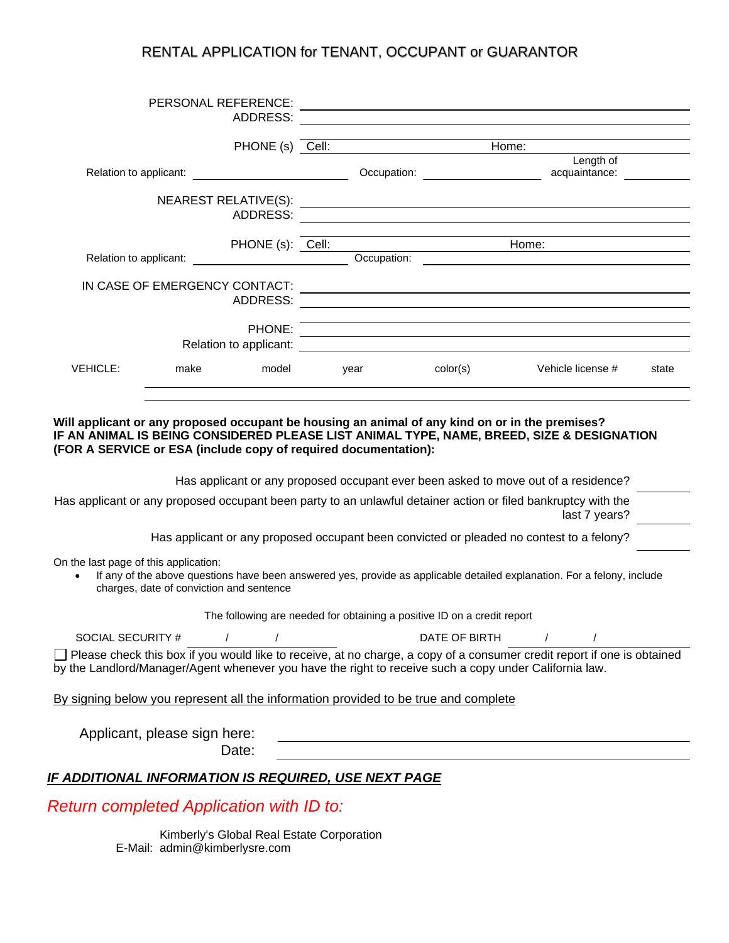#### RENTAL APPLICATION for TENANT, OCCUPANT or GUARANTOR

|                                                    |                              | PERSONAL REFERENCE:<br>ADDRESS:                   |                                                                                                                                                                                                                                      |                                                                                                                       |                                                                                                                                                                                                                                   |       |
|----------------------------------------------------|------------------------------|---------------------------------------------------|--------------------------------------------------------------------------------------------------------------------------------------------------------------------------------------------------------------------------------------|-----------------------------------------------------------------------------------------------------------------------|-----------------------------------------------------------------------------------------------------------------------------------------------------------------------------------------------------------------------------------|-------|
|                                                    |                              |                                                   |                                                                                                                                                                                                                                      |                                                                                                                       |                                                                                                                                                                                                                                   |       |
|                                                    |                              |                                                   | PHONE (s) Cell: <u>Cell: Change Contains and Change Change Contains and Change Change Change Change Change Change Change Change Change Change Change Change Change Change Change Change Change Change Change Change Change Chang</u> |                                                                                                                       | Home:                                                                                                                                                                                                                             |       |
|                                                    |                              |                                                   |                                                                                                                                                                                                                                      | Length of<br>acquaintance:                                                                                            |                                                                                                                                                                                                                                   |       |
|                                                    |                              |                                                   |                                                                                                                                                                                                                                      |                                                                                                                       |                                                                                                                                                                                                                                   |       |
|                                                    |                              | ADDRESS:                                          |                                                                                                                                                                                                                                      |                                                                                                                       |                                                                                                                                                                                                                                   |       |
|                                                    |                              |                                                   |                                                                                                                                                                                                                                      | PHONE (s): Cell:                                                                                                      | Home: <u>_______________</u>                                                                                                                                                                                                      |       |
| Relation to applicant:                             |                              | <u> 1989 - Johann Barnett, fransk politiker (</u> |                                                                                                                                                                                                                                      |                                                                                                                       | Occupation:                                                                                                                                                                                                                       |       |
|                                                    |                              | IN CASE OF EMERGENCY CONTACT:<br>ADDRESS:         |                                                                                                                                                                                                                                      |                                                                                                                       | <u> 1989 - Johann Stoff, deutscher Stoffen und der Stoffen und der Stoffen und der Stoffen und der Stoffen und der</u>                                                                                                            |       |
|                                                    |                              | PHONE:                                            |                                                                                                                                                                                                                                      |                                                                                                                       | <u> 1989 - Johann Stoff, amerikansk politiker (d. 1989)</u><br>and the control of the control of the control of the control of the control of the control of the control of the                                                   |       |
|                                                    |                              |                                                   |                                                                                                                                                                                                                                      |                                                                                                                       |                                                                                                                                                                                                                                   |       |
| <b>VEHICLE:</b>                                    | make                         | model                                             | <b>Example 20</b> Year                                                                                                                                                                                                               | color(s)                                                                                                              | Vehicle license #                                                                                                                                                                                                                 | state |
|                                                    |                              |                                                   |                                                                                                                                                                                                                                      |                                                                                                                       |                                                                                                                                                                                                                                   |       |
|                                                    |                              |                                                   | (FOR A SERVICE or ESA (include copy of required documentation):                                                                                                                                                                      | Will applicant or any proposed occupant be housing an animal of any kind on or in the premises?                       | IF AN ANIMAL IS BEING CONSIDERED PLEASE LIST ANIMAL TYPE, NAME, BREED, SIZE & DESIGNATION<br>Has applicant or any proposed occupant ever been asked to move out of a residence?                                                   |       |
|                                                    |                              |                                                   |                                                                                                                                                                                                                                      |                                                                                                                       | Has applicant or any proposed occupant been party to an unlawful detainer action or filed bankruptcy with the<br>last 7 years?                                                                                                    |       |
|                                                    |                              |                                                   |                                                                                                                                                                                                                                      |                                                                                                                       | Has applicant or any proposed occupant been convicted or pleaded no contest to a felony?                                                                                                                                          |       |
| On the last page of this application:<br>$\bullet$ |                              | charges, date of conviction and sentence          |                                                                                                                                                                                                                                      |                                                                                                                       | If any of the above questions have been answered yes, provide as applicable detailed explanation. For a felony, include                                                                                                           |       |
|                                                    |                              |                                                   |                                                                                                                                                                                                                                      | The following are needed for obtaining a positive ID on a credit report                                               |                                                                                                                                                                                                                                   |       |
|                                                    | SOCIAL SECURITY # /          |                                                   |                                                                                                                                                                                                                                      | DATE OF BIRTH                                                                                                         | $\prime$                                                                                                                                                                                                                          |       |
|                                                    |                              |                                                   |                                                                                                                                                                                                                                      |                                                                                                                       | Please check this box if you would like to receive, at no charge, a copy of a consumer credit report if one is obtained<br>by the Landlord/Manager/Agent whenever you have the right to receive such a copy under California law. |       |
|                                                    |                              |                                                   |                                                                                                                                                                                                                                      | By signing below you represent all the information provided to be true and complete                                   |                                                                                                                                                                                                                                   |       |
|                                                    | Applicant, please sign here: | Date:                                             |                                                                                                                                                                                                                                      | <u> 1980 - Johann Barn, mars ann an t-Amhain Aonaichte ann an t-Aonaichte ann an t-Aonaichte ann an t-Aonaichte a</u> |                                                                                                                                                                                                                                   |       |
|                                                    |                              |                                                   |                                                                                                                                                                                                                                      |                                                                                                                       |                                                                                                                                                                                                                                   |       |
|                                                    |                              |                                                   | <b>IF ADDITIONAL INFORMATION IS REQUIRED, USE NEXT PAGE</b>                                                                                                                                                                          |                                                                                                                       |                                                                                                                                                                                                                                   |       |

# *Return completed Application with ID to:*

Kimberly's Global Real Estate Corporation E-Mail: admin@kimberlysre.com